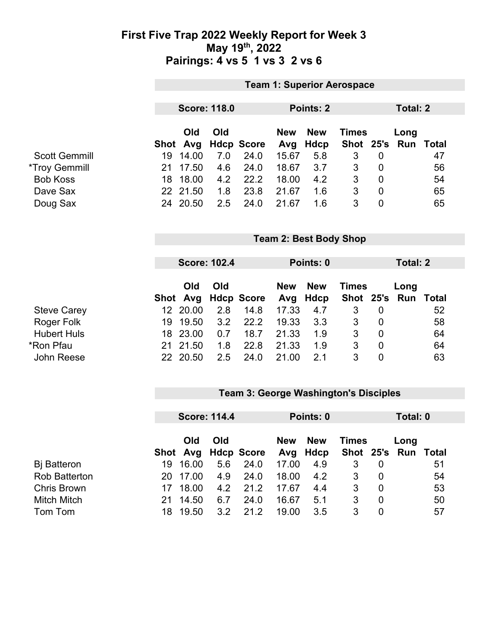### **First Five Trap 2022 Weekly Report for Week 3 May 19th, 2022 Pairings: 4 vs 5 1 vs 3 2 vs 6**

|                                |             | <b>Team 1: Superior Aerospace</b> |                     |                   |                   |                               |                             |                |                 |              |
|--------------------------------|-------------|-----------------------------------|---------------------|-------------------|-------------------|-------------------------------|-----------------------------|----------------|-----------------|--------------|
|                                |             |                                   | <b>Score: 118.0</b> |                   |                   | Points: 2                     |                             |                | <b>Total: 2</b> |              |
|                                | <b>Shot</b> | Old<br>Avg                        | Old                 | <b>Hdcp Score</b> | <b>New</b><br>Avg | <b>New</b><br>Hdcp            | <b>Times</b><br><b>Shot</b> | 25's           | Long<br>Run     | <b>Total</b> |
| <b>Scott Gemmill</b>           | 19          | 14.00                             | 7.0                 | 24.0              | 15.67             | 5.8                           | 3                           | $\mathbf 0$    |                 | 47           |
| <i><b>*Troy Gemmill</b></i>    | 21          | 17.50                             | 4.6                 | 24.0              | 18.67             | 3.7                           | 3                           | $\mathbf 0$    |                 | 56           |
| <b>Bob Koss</b>                | 18          | 18.00                             | 4.2                 | 22.2              | 18.00             | 4.2                           | 3                           | $\mathbf 0$    |                 | 54           |
| Dave Sax                       |             | 22 21.50                          | 1.8                 | 23.8              | 21.67             | 1.6                           | 3                           | $\mathbf 0$    |                 | 65           |
| Doug Sax                       |             | 24 20.50                          | 2.5                 | 24.0              | 21.67             | 1.6                           | 3                           | $\mathbf 0$    |                 | 65           |
|                                |             |                                   |                     |                   |                   | <b>Team 2: Best Body Shop</b> |                             |                |                 |              |
|                                |             |                                   | <b>Score: 102.4</b> |                   |                   | Points: 0                     |                             |                | <b>Total: 2</b> |              |
|                                |             | Old                               | Old                 |                   | <b>New</b>        | <b>New</b>                    | <b>Times</b>                |                | Long            |              |
|                                | <b>Shot</b> | Avg                               |                     | <b>Hdcp Score</b> | Avg               | <b>Hdcp</b>                   | Shot                        | 25's           | Run             | <b>Total</b> |
| <b>Steve Carey</b>             |             | 12 20.00                          | 2.8                 | 14.8              | 17.33             | 4.7                           | 3                           | 0              |                 | 52           |
| Roger Folk                     | 19          | 19.50                             | 3.2                 | 22.2              | 19.33             | 3.3                           | 3                           | $\mathbf 0$    |                 | 58           |
| <b>Hubert Huls</b>             |             | 18 23.00                          | 0.7                 | 18.7              | 21.33             | 1.9                           | 3                           | $\overline{0}$ |                 | 64           |
|                                | 21          | 21.50                             | 1.8                 | 22.8              | 21.33             | 1.9                           | 3                           | $\mathbf 0$    |                 | 64           |
| *Ron Pfau<br><b>John Reese</b> |             | 22 20.50                          | 2.5                 | 24.0              | 21.00             | 2.1                           | 3                           | $\mathbf 0$    |                 | 63           |

## **Team 3: George Washington's Disciples**

|                      | <b>Score: 114.4</b> |          |     | Points: 0                   |            |                 | Total: 0                 |          |      |    |
|----------------------|---------------------|----------|-----|-----------------------------|------------|-----------------|--------------------------|----------|------|----|
|                      |                     | Old      | Old |                             | <b>New</b> | <b>New</b>      | <b>Times</b>             |          | Long |    |
| <b>B</b> j Batteron  | 19.                 | 16.00    | 5.6 | Shot Avg Hdcp Score<br>24.0 | 17.00      | Avg Hdcp<br>4.9 | Shot 25's Run Total<br>3 | 0        |      | 51 |
| <b>Rob Batterton</b> |                     | 20 17.00 | 4.9 | 24.0                        | 18.00      | 4.2             | 3                        | $\Omega$ |      | 54 |
| <b>Chris Brown</b>   |                     | 18.00    | 4.2 | 21.2                        | 17.67      | 4.4             | 3                        | $\Omega$ |      | 53 |
| <b>Mitch Mitch</b>   | 21                  | 14.50    | 6.7 | 24.0                        | 16.67      | 5.1             | 3                        | 0        |      | 50 |
| Tom Tom              | 18                  | 19.50    | 3.2 | 21.2                        | 19.00      | 3.5             | 3                        | $\Omega$ |      | 57 |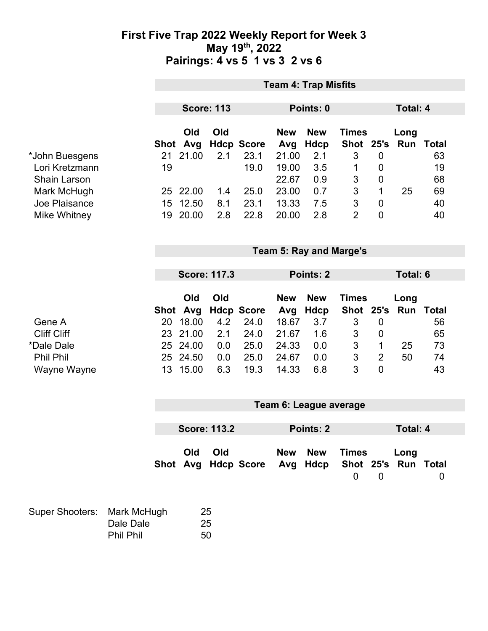### **First Five Trap 2022 Weekly Report for Week 3 May 19th, 2022 Pairings: 4 vs 5 1 vs 3 2 vs 6**

|                             |                     |                 |                     |                         |                   | <b>Team 4: Trap Misfits</b>    |                           |                  |                     |              |
|-----------------------------|---------------------|-----------------|---------------------|-------------------------|-------------------|--------------------------------|---------------------------|------------------|---------------------|--------------|
|                             |                     |                 | <b>Score: 113</b>   |                         |                   | Points: 0                      |                           |                  | Total: 4            |              |
|                             |                     |                 |                     |                         |                   |                                |                           |                  |                     |              |
|                             |                     | Old<br>Shot Avg | Old                 | <b>Hdcp Score</b>       | <b>New</b><br>Avg | <b>New</b><br>Hdcp             | <b>Times</b><br>Shot 25's |                  | Long<br>Run         | Total        |
| *John Buesgens              | 21                  | 21.00           | 2.1                 | 23.1                    | 21.00             | 2.1                            | 3                         | $\mathbf 0$      |                     | 63           |
| Lori Kretzmann              | 19                  |                 |                     | 19.0                    | 19.00             | 3.5                            | 1                         | $\boldsymbol{0}$ |                     | 19           |
| <b>Shain Larson</b>         |                     |                 |                     |                         | 22.67             | 0.9                            | $\sqrt{3}$                | $\pmb{0}$        |                     | 68           |
| Mark McHugh                 |                     | 25 22.00        | 1.4                 | 25.0                    | 23.00             | 0.7                            | $\sqrt{3}$                | 1                | 25                  | 69           |
| Joe Plaisance               | 15                  | 12.50           | 8.1                 | 23.1                    | 13.33             | 7.5                            | $\mathfrak{S}$            | $\mathbf 0$      |                     | 40           |
| Mike Whitney                | 19                  | 20.00           | 2.8                 | 22.8                    | 20.00             | 2.8                            | $\overline{2}$            | 0                |                     | 40           |
|                             |                     |                 |                     |                         |                   |                                |                           |                  |                     |              |
|                             |                     |                 |                     |                         |                   | <b>Team 5: Ray and Marge's</b> |                           |                  |                     |              |
|                             | <b>Score: 117.3</b> |                 |                     | Points: 2               |                   |                                |                           | <b>Total: 6</b>  |                     |              |
|                             |                     |                 |                     |                         |                   |                                |                           |                  |                     |              |
|                             |                     | Old             | Old                 |                         | <b>New</b>        | <b>New</b>                     | <b>Times</b>              |                  | Long                |              |
|                             | Shot                | Avg             |                     | <b>Hdcp Score</b>       | Avg               | <b>Hdcp</b>                    | Shot                      | 25's             | Run                 | <b>Total</b> |
| Gene A                      | 20                  | 18.00           | 4.2                 | 24.0                    | 18.67             | 3.7                            | $\sqrt{3}$                | $\mathbf 0$      |                     | 56           |
| <b>Cliff Cliff</b>          | 23                  | 21.00           | 2.1                 | 24.0                    | 21.67             | 1.6                            | 3                         | $\pmb{0}$        |                     | 65           |
| *Dale Dale                  | 25                  | 24.00           | 0.0                 | 25.0                    | 24.33             | 0.0                            | $\mathfrak{S}$            | $\mathbf 1$      | 25                  | 73           |
| <b>Phil Phil</b>            | 25                  | 24.50           | 0.0                 | 25.0                    | 24.67             | 0.0                            | $\ensuremath{\mathsf{3}}$ | $\overline{2}$   | 50                  | 74           |
| Wayne Wayne                 | 13                  | 15.00           | 6.3                 | 19.3                    | 14.33             | 6.8                            | 3                         | $\mathbf 0$      |                     | 43           |
|                             |                     |                 |                     |                         |                   |                                |                           |                  |                     |              |
|                             |                     |                 |                     |                         |                   | Team 6: League average         |                           |                  |                     |              |
|                             |                     |                 |                     |                         |                   |                                |                           |                  |                     |              |
|                             |                     |                 | <b>Score: 113.2</b> |                         |                   | Points: 2                      |                           |                  | Total: 4            |              |
|                             |                     | Old             | Old                 |                         | <b>New</b>        | <b>New</b>                     | <b>Times</b>              |                  | Long                |              |
|                             |                     |                 |                     | Shot Avg Hdcp Score Avg |                   | <b>Hdcp</b>                    |                           |                  | Shot 25's Run Total |              |
|                             |                     |                 |                     |                         |                   |                                | $\overline{0}$            | $\mathbf 0$      |                     | 0            |
|                             |                     |                 |                     |                         |                   |                                |                           |                  |                     |              |
| Super Shooters: Mark McHugh |                     |                 | 25                  |                         |                   |                                |                           |                  |                     |              |

Dale Dale 25<br>
Phil Phil 50 Phil Phil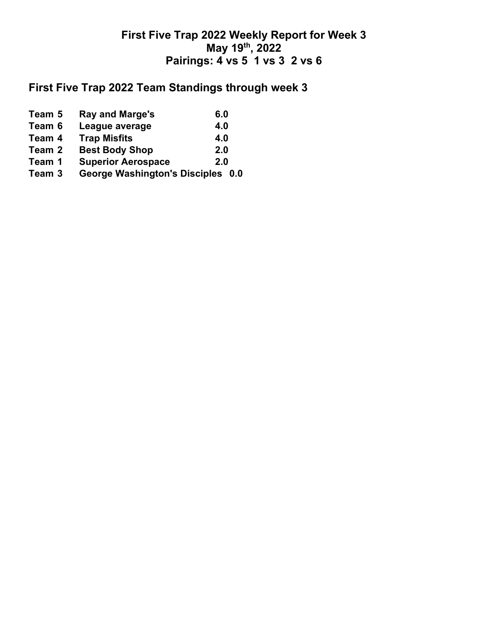## **First Five Trap 2022 Weekly Report for Week 3 May 19th, 2022 Pairings: 4 vs 5 1 vs 3 2 vs 6**

# **First Five Trap 2022 Team Standings through week 3**

| Team 5 | Ray and Marge's                          | 6.0 |
|--------|------------------------------------------|-----|
| Team 6 | League average                           | 4.0 |
| Team 4 | <b>Trap Misfits</b>                      | 4.0 |
| Team 2 | <b>Best Body Shop</b>                    | 2.0 |
| Team 1 | <b>Superior Aerospace</b>                | 2.0 |
| Team 3 | <b>George Washington's Disciples 0.0</b> |     |